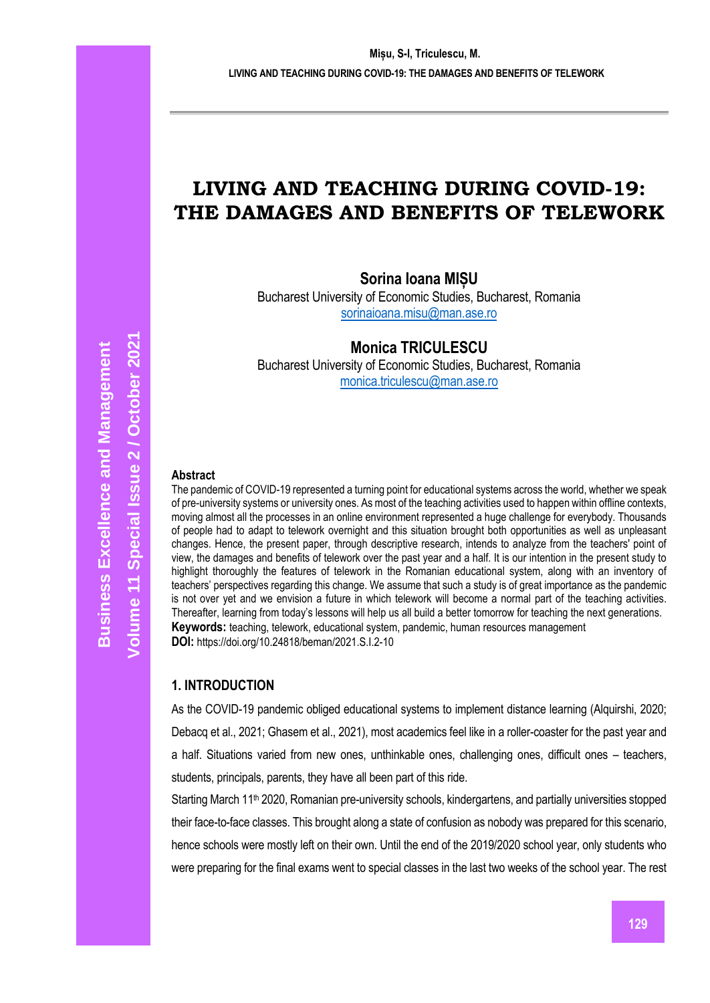# **LIVING AND TEACHING DURING COVID-19: THE DAMAGES AND BENEFITS OF TELEWORK**

**Sorina Ioana MIȘU** 

Bucharest University of Economic Studies, Bucharest, Romania [sorinaioana.misu@man.ase.ro](mailto:sorinaioana.misu@man.ase.ro) 

**Monica TRICULESCU** 

Bucharest University of Economic Studies, Bucharest, Romania [monica.triculescu@man.ase.ro](mailto:monica.triculescu@man.ase.ro) 

#### **Abstract**

The pandemic of COVID-19 represented a turning point for educational systems across the world, whether we speak of pre-university systems or university ones. As most of the teaching activities used to happen within offline contexts, moving almost all the processes in an online environment represented a huge challenge for everybody. Thousands of people had to adapt to telework overnight and this situation brought both opportunities as well as unpleasant changes. Hence, the present paper, through descriptive research, intends to analyze from the teachers' point of view, the damages and benefits of telework over the past year and a half. It is our intention in the present study to highlight thoroughly the features of telework in the Romanian educational system, along with an inventory of teachers' perspectives regarding this change. We assume that such a study is of great importance as the pandemic is not over yet and we envision a future in which telework will become a normal part of the teaching activities. Thereafter, learning from today's lessons will help us all build a better tomorrow for teaching the next generations. **Keywords:** teaching, telework, educational system, pandemic, human resources management **DOI:** https://doi.org/10.24818/beman/2021.S.I.2-10

#### **1. INTRODUCTION**

As the COVID-19 pandemic obliged educational systems to implement distance learning (Alquirshi, 2020; Debacq et al., 2021; Ghasem et al., 2021), most academics feel like in a roller-coaster for the past year and a half. Situations varied from new ones, unthinkable ones, challenging ones, difficult ones – teachers, students, principals, parents, they have all been part of this ride.

Starting March 11<sup>th</sup> 2020, Romanian pre-university schools, kindergartens, and partially universities stopped their face-to-face classes. This brought along a state of confusion as nobody was prepared for this scenario, hence schools were mostly left on their own. Until the end of the 2019/2020 school year, only students who were preparing for the final exams went to special classes in the last two weeks of the school year. The rest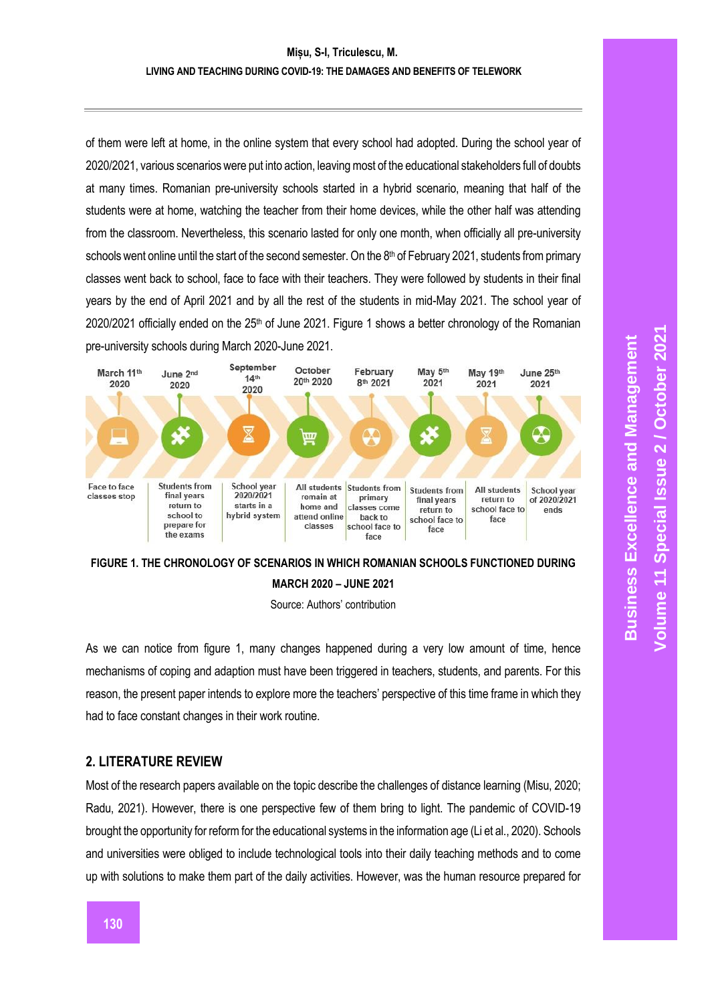#### **LIVING AND TEACHING DURING COVID-19: THE DAMAGES AND BENEFITS OF TELEWORK**

of them were left at home, in the online system that every school had adopted. During the school year of 2020/2021, various scenarios were put into action, leaving most of the educational stakeholders full of doubts at many times. Romanian pre-university schools started in a hybrid scenario, meaning that half of the students were at home, watching the teacher from their home devices, while the other half was attending from the classroom. Nevertheless, this scenario lasted for only one month, when officially all pre-university schools went online until the start of the second semester. On the 8<sup>th</sup> of February 2021, students from primary classes went back to school, face to face with their teachers. They were followed by students in their final years by the end of April 2021 and by all the rest of the students in mid-May 2021. The school year of 2020/2021 officially ended on the 25<sup>th</sup> of June 2021. Figure 1 shows a better chronology of the Romanian pre-university schools during March 2020-June 2021.





Source: Authors' contribution

As we can notice from figure 1, many changes happened during a very low amount of time, hence mechanisms of coping and adaption must have been triggered in teachers, students, and parents. For this reason, the present paper intends to explore more the teachers' perspective of this time frame in which they had to face constant changes in their work routine.

### **2. LITERATURE REVIEW**

Most of the research papers available on the topic describe the challenges of distance learning (Misu, 2020; Radu, 2021). However, there is one perspective few of them bring to light. The pandemic of COVID-19 brought the opportunity for reform for the educational systems in the information age (Li et al., 2020). Schools and universities were obliged to include technological tools into their daily teaching methods and to come up with solutions to make them part of the daily activities. However, was the human resource prepared for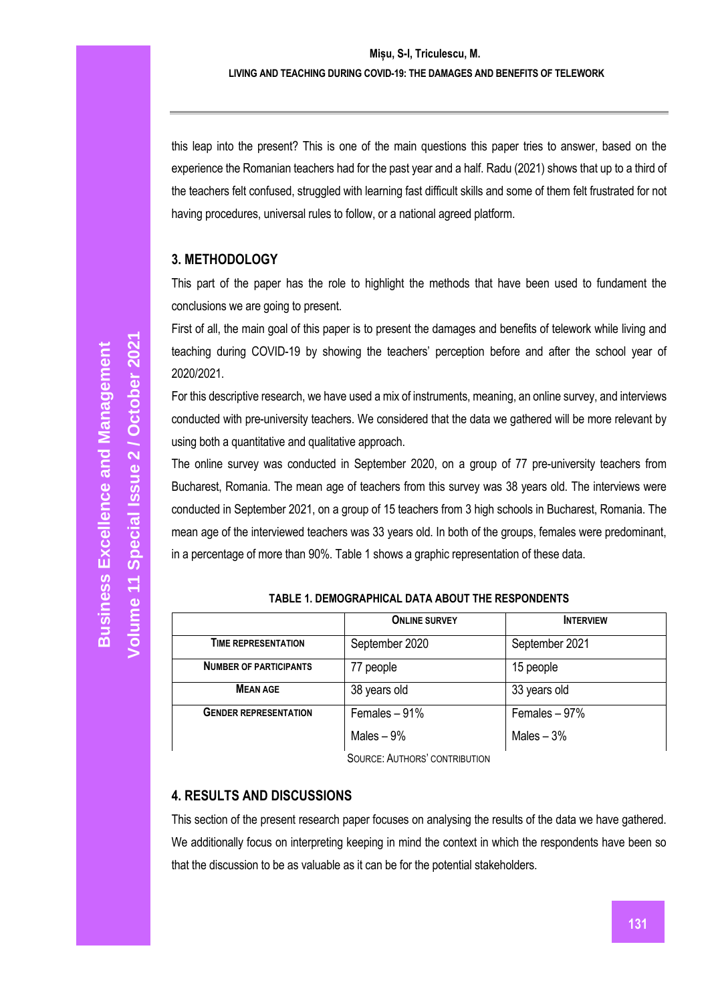this leap into the present? This is one of the main questions this paper tries to answer, based on the experience the Romanian teachers had for the past year and a half. Radu (2021) shows that up to a third of the teachers felt confused, struggled with learning fast difficult skills and some of them felt frustrated for not having procedures, universal rules to follow, or a national agreed platform.

### **3. METHODOLOGY**

This part of the paper has the role to highlight the methods that have been used to fundament the conclusions we are going to present.

First of all, the main goal of this paper is to present the damages and benefits of telework while living and teaching during COVID-19 by showing the teachers' perception before and after the school year of 2020/2021.

For this descriptive research, we have used a mix of instruments, meaning, an online survey, and interviews conducted with pre-university teachers. We considered that the data we gathered will be more relevant by using both a quantitative and qualitative approach.

The online survey was conducted in September 2020, on a group of 77 pre-university teachers from Bucharest, Romania. The mean age of teachers from this survey was 38 years old. The interviews were conducted in September 2021, on a group of 15 teachers from 3 high schools in Bucharest, Romania. The mean age of the interviewed teachers was 33 years old. In both of the groups, females were predominant, in a percentage of more than 90%. Table 1 shows a graphic representation of these data.

|                               | <b>ONLINE SURVEY</b> | <b>INTERVIEW</b> |
|-------------------------------|----------------------|------------------|
| TIME REPRESENTATION           | September 2020       | September 2021   |
| <b>NUMBER OF PARTICIPANTS</b> | 77 people            | 15 people        |
| <b>MEAN AGE</b>               | 38 years old         | 33 years old     |
| <b>GENDER REPRESENTATION</b>  | Females $-91%$       | Females $-97%$   |
|                               | Males $-9\%$         | Males $-3%$      |
|                               |                      |                  |

**TABLE 1. DEMOGRAPHICAL DATA ABOUT THE RESPONDENTS**

SOURCE: AUTHORS' CONTRIBUTION

## **4. RESULTS AND DISCUSSIONS**

This section of the present research paper focuses on analysing the results of the data we have gathered. We additionally focus on interpreting keeping in mind the context in which the respondents have been so that the discussion to be as valuable as it can be for the potential stakeholders.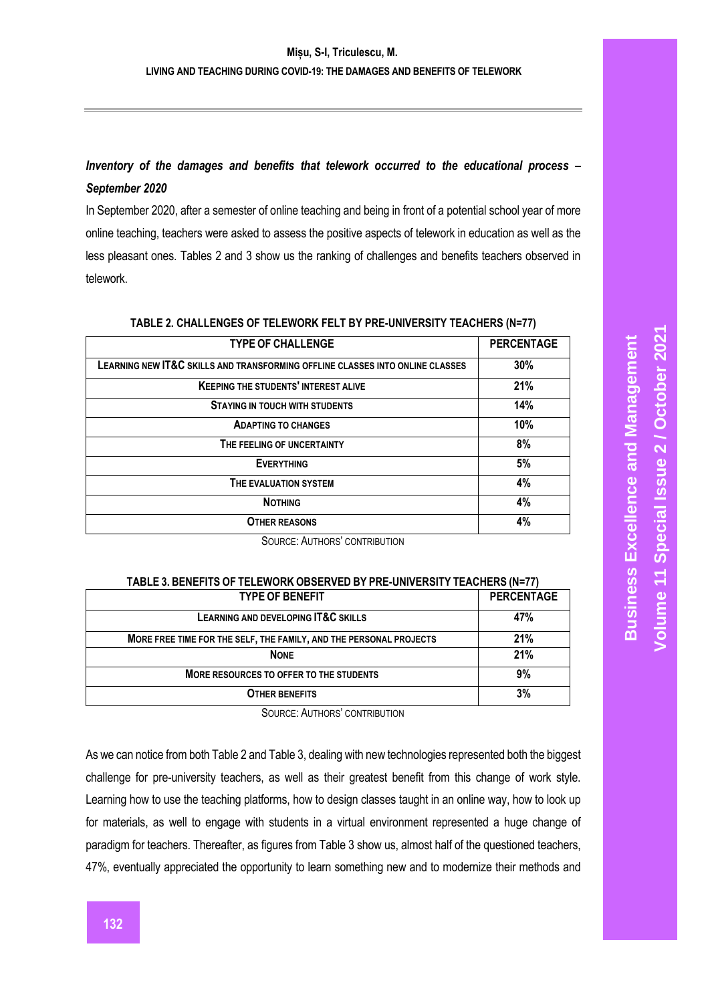## *Inventory of the damages and benefits that telework occurred to the educational process – September 2020*

In September 2020, after a semester of online teaching and being in front of a potential school year of more online teaching, teachers were asked to assess the positive aspects of telework in education as well as the less pleasant ones. Tables 2 and 3 show us the ranking of challenges and benefits teachers observed in telework.

| <b>TYPE OF CHALLENGE</b>                                                      | <b>PERCENTAGE</b> |
|-------------------------------------------------------------------------------|-------------------|
| LEARNING NEW IT&C SKILLS AND TRANSFORMING OFFLINE CLASSES INTO ONLINE CLASSES | 30%               |
| <b>KEEPING THE STUDENTS' INTEREST ALIVE</b>                                   | 21%               |
| <b>STAYING IN TOUCH WITH STUDENTS</b>                                         | 14%               |
| <b>ADAPTING TO CHANGES</b>                                                    | 10%               |
| THE FEELING OF UNCERTAINTY                                                    | 8%                |
| <b>EVERYTHING</b>                                                             | 5%                |
| THE EVALUATION SYSTEM                                                         | 4%                |
| <b>NOTHING</b>                                                                | 4%                |
| <b>OTHER REASONS</b>                                                          | 4%                |

#### **TABLE 2. CHALLENGES OF TELEWORK FELT BY PRE-UNIVERSITY TEACHERS (N=77)**

SOURCE: AUTHORS' CONTRIBUTION

#### **TABLE 3. BENEFITS OF TELEWORK OBSERVED BY PRE-UNIVERSITY TEACHERS (N=77) TYPE OF RENEFIT**

| .                                                                  | .   |
|--------------------------------------------------------------------|-----|
| LEARNING AND DEVELOPING IT&C SKILLS                                | 47% |
| MORE FREE TIME FOR THE SELF, THE FAMILY, AND THE PERSONAL PROJECTS | 21% |
| <b>NONE</b>                                                        | 21% |
| MORE RESOURCES TO OFFER TO THE STUDENTS                            | 9%  |
| <b>OTHER BENEFITS</b>                                              | 3%  |

SOURCE: AUTHORS' CONTRIBUTION

As we can notice from both Table 2 and Table 3, dealing with new technologies represented both the biggest challenge for pre-university teachers, as well as their greatest benefit from this change of work style. Learning how to use the teaching platforms, how to design classes taught in an online way, how to look up for materials, as well to engage with students in a virtual environment represented a huge change of paradigm for teachers. Thereafter, as figures from Table 3 show us, almost half of the questioned teachers, 47%, eventually appreciated the opportunity to learn something new and to modernize their methods and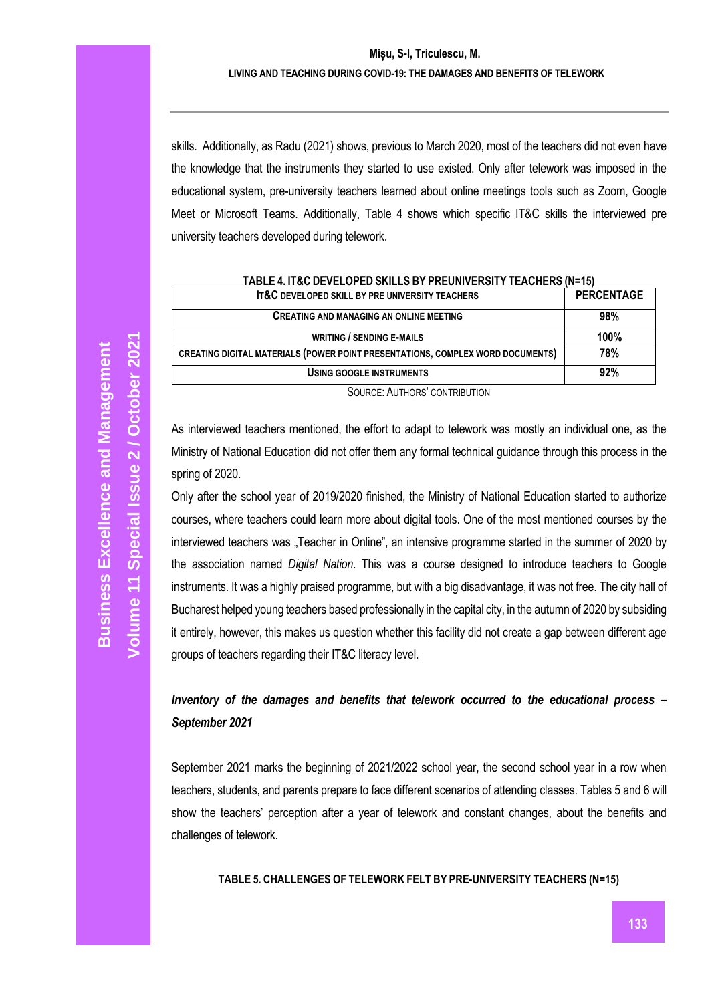### **Mișu, S-I, Triculescu, M. LIVING AND TEACHING DURING COVID-19: THE DAMAGES AND BENEFITS OF TELEWORK**

skills. Additionally, as Radu (2021) shows, previous to March 2020, most of the teachers did not even have the knowledge that the instruments they started to use existed. Only after telework was imposed in the educational system, pre-university teachers learned about online meetings tools such as Zoom, Google Meet or Microsoft Teams. Additionally, Table 4 shows which specific IT&C skills the interviewed pre university teachers developed during telework.

| <u>TADLE 4. IT&amp;G DEVELOFED ONIELO DT FNEUNIVENOITT TEAGHENO (N=TJ)</u>            |                   |  |
|---------------------------------------------------------------------------------------|-------------------|--|
| <b>IT&amp;C DEVELOPED SKILL BY PRE UNIVERSITY TEACHERS</b>                            | <b>PERCENTAGE</b> |  |
| <b>CREATING AND MANAGING AN ONLINE MEETING</b>                                        | 98%               |  |
| <b>WRITING / SENDING E-MAILS</b>                                                      | 100%              |  |
| <b>CREATING DIGITAL MATERIALS (POWER POINT PRESENTATIONS, COMPLEX WORD DOCUMENTS)</b> | 78%               |  |
| <b>USING GOOGLE INSTRUMENTS</b>                                                       | 92%               |  |
| $0.01525 \cdot \text{A}11712522222170117011$                                          |                   |  |

| TABLE 4. IT&C DEVELOPED SKILLS BY PREUNIVERSITY TEACHERS (N=15) |  |
|-----------------------------------------------------------------|--|
|-----------------------------------------------------------------|--|

SOURCE: AUTHORS' CONTRIBUTION

As interviewed teachers mentioned, the effort to adapt to telework was mostly an individual one, as the Ministry of National Education did not offer them any formal technical guidance through this process in the spring of 2020.

Only after the school year of 2019/2020 finished, the Ministry of National Education started to authorize courses, where teachers could learn more about digital tools. One of the most mentioned courses by the interviewed teachers was "Teacher in Online", an intensive programme started in the summer of 2020 by the association named *Digital Nation*. This was a course designed to introduce teachers to Google instruments. It was a highly praised programme, but with a big disadvantage, it was not free. The city hall of Bucharest helped young teachers based professionally in the capital city, in the autumn of 2020 by subsiding it entirely, however, this makes us question whether this facility did not create a gap between different age groups of teachers regarding their IT&C literacy level.

## *Inventory of the damages and benefits that telework occurred to the educational process – September 2021*

September 2021 marks the beginning of 2021/2022 school year, the second school year in a row when teachers, students, and parents prepare to face different scenarios of attending classes. Tables 5 and 6 will show the teachers' perception after a year of telework and constant changes, about the benefits and challenges of telework.

#### **TABLE 5. CHALLENGES OF TELEWORK FELT BY PRE-UNIVERSITY TEACHERS (N=15)**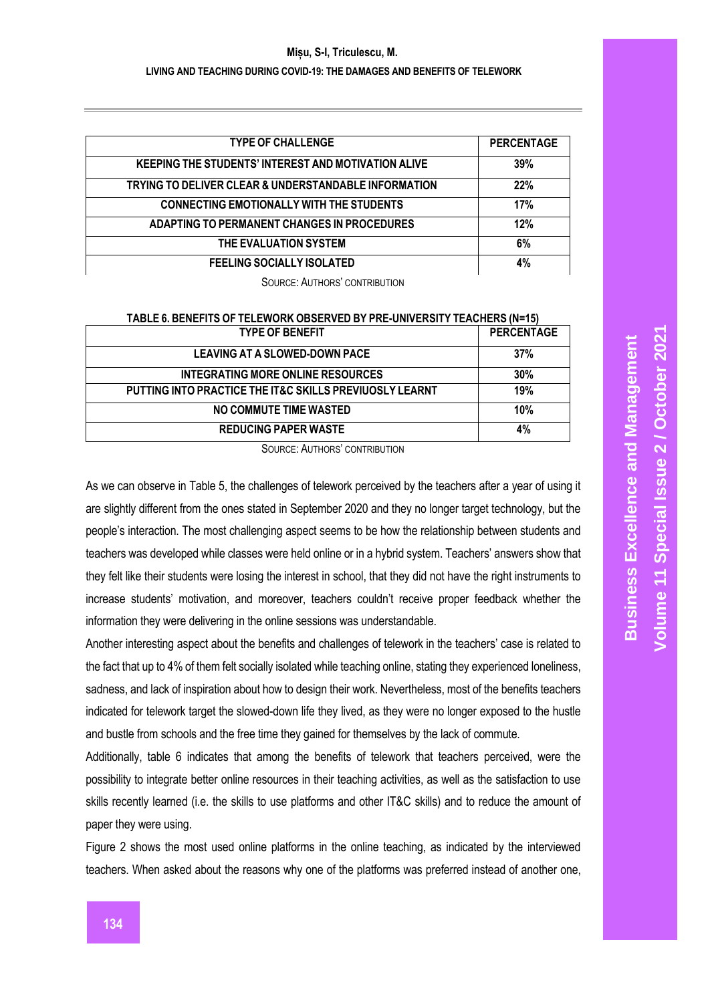#### **Mișu, S-I, Triculescu, M.**

#### **LIVING AND TEACHING DURING COVID-19: THE DAMAGES AND BENEFITS OF TELEWORK**

| <b>TYPE OF CHALLENGE</b>                                   | <b>PERCENTAGE</b> |
|------------------------------------------------------------|-------------------|
|                                                            |                   |
| <b>KEEPING THE STUDENTS' INTEREST AND MOTIVATION ALIVE</b> | 39%               |
| TRYING TO DELIVER CLEAR & UNDERSTANDABLE INFORMATION       | 22%               |
| <b>CONNECTING EMOTIONALLY WITH THE STUDENTS</b>            | 17%               |
| ADAPTING TO PERMANENT CHANGES IN PROCEDURES                | 12%               |
| THE EVALUATION SYSTEM                                      | 6%                |
| <b>FEELING SOCIALLY ISOLATED</b>                           | 4%                |

SOURCE: AUTHORS' CONTRIBUTION

| TABLE 6. BENEFITS OF TELEWORK OBSERVED BY PRE-UNIVERSITY TEACHERS (N=15) |                   |
|--------------------------------------------------------------------------|-------------------|
| <b>TYPE OF BENEFIT</b>                                                   | <b>PERCENTAGE</b> |
| <b>LEAVING AT A SLOWED-DOWN PACE</b>                                     | 37%               |
| INTEGRATING MORE ONLINE RESOURCES                                        | 30%               |
| PUTTING INTO PRACTICE THE IT&C SKILLS PREVIUOSLY LEARNT                  | 19%               |
| NO COMMUTE TIME WASTED                                                   | 10%               |
| <b>REDUCING PAPER WASTE</b>                                              | 4%                |
|                                                                          |                   |

SOURCE: AUTHORS' CONTRIBUTION

As we can observe in Table 5, the challenges of telework perceived by the teachers after a year of using it are slightly different from the ones stated in September 2020 and they no longer target technology, but the people's interaction. The most challenging aspect seems to be how the relationship between students and teachers was developed while classes were held online or in a hybrid system. Teachers' answers show that they felt like their students were losing the interest in school, that they did not have the right instruments to increase students' motivation, and moreover, teachers couldn't receive proper feedback whether the information they were delivering in the online sessions was understandable.

Another interesting aspect about the benefits and challenges of telework in the teachers' case is related to the fact that up to 4% of them felt socially isolated while teaching online, stating they experienced loneliness, sadness, and lack of inspiration about how to design their work. Nevertheless, most of the benefits teachers indicated for telework target the slowed-down life they lived, as they were no longer exposed to the hustle and bustle from schools and the free time they gained for themselves by the lack of commute.

Additionally, table 6 indicates that among the benefits of telework that teachers perceived, were the possibility to integrate better online resources in their teaching activities, as well as the satisfaction to use skills recently learned (i.e. the skills to use platforms and other IT&C skills) and to reduce the amount of paper they were using.

Figure 2 shows the most used online platforms in the online teaching, as indicated by the interviewed teachers. When asked about the reasons why one of the platforms was preferred instead of another one,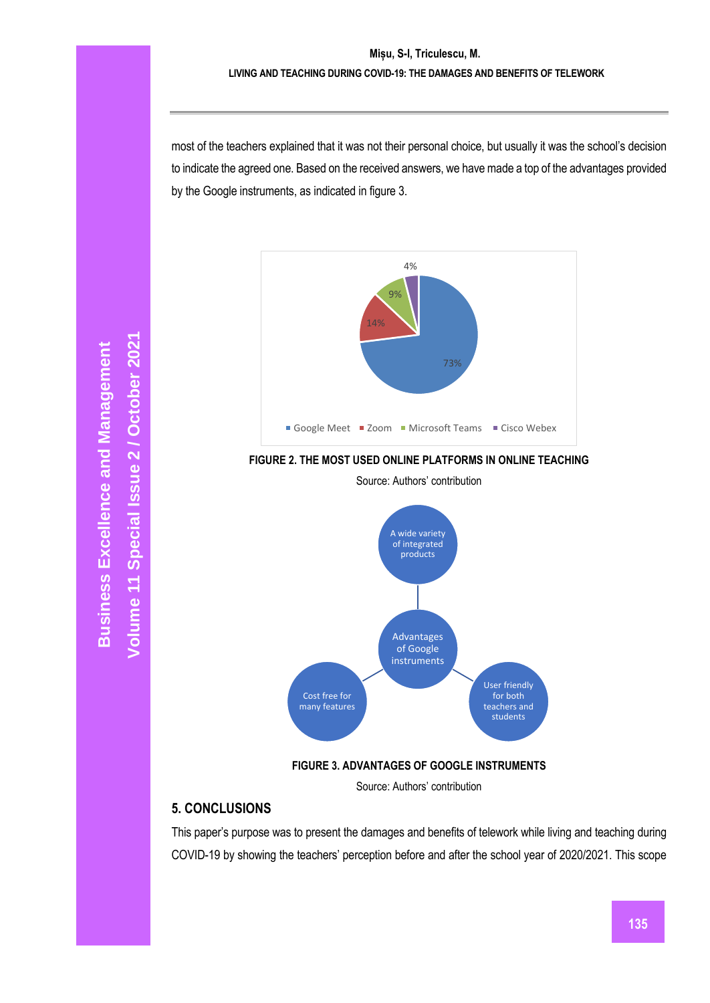most of the teachers explained that it was not their personal choice, but usually it was the school's decision to indicate the agreed one. Based on the received answers, we have made a top of the advantages provided by the Google instruments, as indicated in figure 3.



**FIGURE 2. THE MOST USED ONLINE PLATFORMS IN ONLINE TEACHING**



Source: Authors' contribution

**FIGURE 3. ADVANTAGES OF GOOGLE INSTRUMENTS** 

Source: Authors' contribution

### **5. CONCLUSIONS**

This paper's purpose was to present the damages and benefits of telework while living and teaching during COVID-19 by showing the teachers' perception before and after the school year of 2020/2021. This scope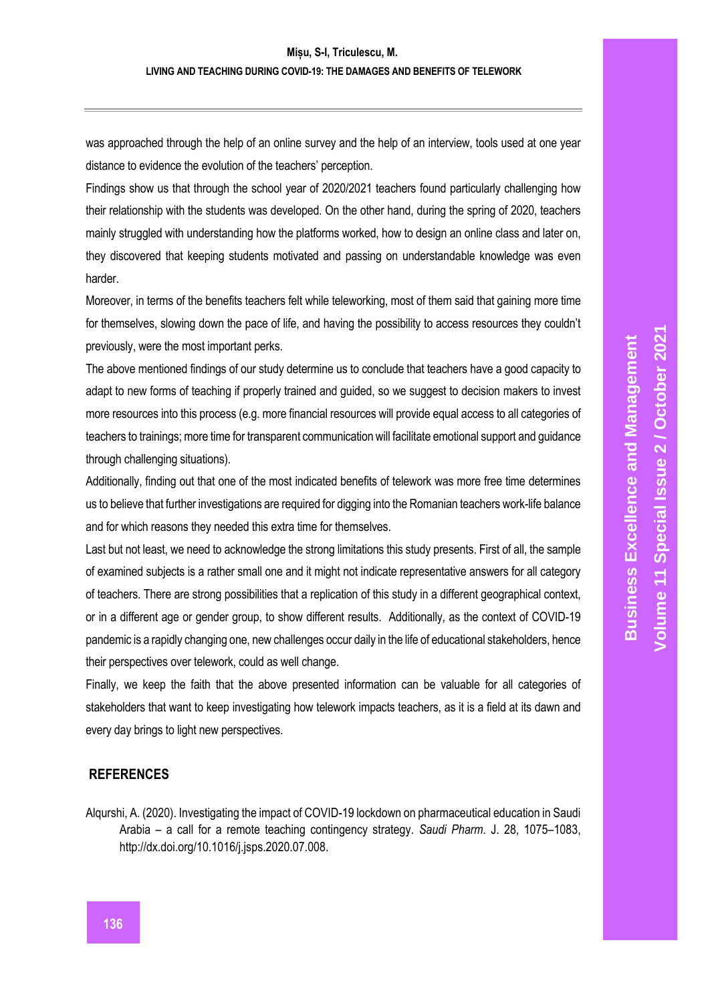#### **Mișu, S-I, Triculescu, M.**

#### **LIVING AND TEACHING DURING COVID-19: THE DAMAGES AND BENEFITS OF TELEWORK**

was approached through the help of an online survey and the help of an interview, tools used at one year distance to evidence the evolution of the teachers' perception.

Findings show us that through the school year of 2020/2021 teachers found particularly challenging how their relationship with the students was developed. On the other hand, during the spring of 2020, teachers mainly struggled with understanding how the platforms worked, how to design an online class and later on, they discovered that keeping students motivated and passing on understandable knowledge was even harder.

Moreover, in terms of the benefits teachers felt while teleworking, most of them said that gaining more time for themselves, slowing down the pace of life, and having the possibility to access resources they couldn't previously, were the most important perks.

The above mentioned findings of our study determine us to conclude that teachers have a good capacity to adapt to new forms of teaching if properly trained and guided, so we suggest to decision makers to invest more resources into this process (e.g. more financial resources will provide equal access to all categories of teachers to trainings; more time for transparent communication will facilitate emotional support and guidance through challenging situations).

Additionally, finding out that one of the most indicated benefits of telework was more free time determines us to believe that further investigations are required for digging into the Romanian teachers work-life balance and for which reasons they needed this extra time for themselves.

Last but not least, we need to acknowledge the strong limitations this study presents. First of all, the sample of examined subjects is a rather small one and it might not indicate representative answers for all category of teachers. There are strong possibilities that a replication of this study in a different geographical context, or in a different age or gender group, to show different results. Additionally, as the context of COVID-19 pandemic is a rapidly changing one, new challenges occur daily in the life of educational stakeholders, hence their perspectives over telework, could as well change.

Finally, we keep the faith that the above presented information can be valuable for all categories of stakeholders that want to keep investigating how telework impacts teachers, as it is a field at its dawn and every day brings to light new perspectives.

#### **REFERENCES**

Alqurshi, A. (2020). Investigating the impact of COVID-19 lockdown on pharmaceutical education in Saudi Arabia – a call for a remote teaching contingency strategy. *Saudi Pharm*. J. 28, 1075–1083, http://dx.doi.org/10.1016/j.jsps.2020.07.008.